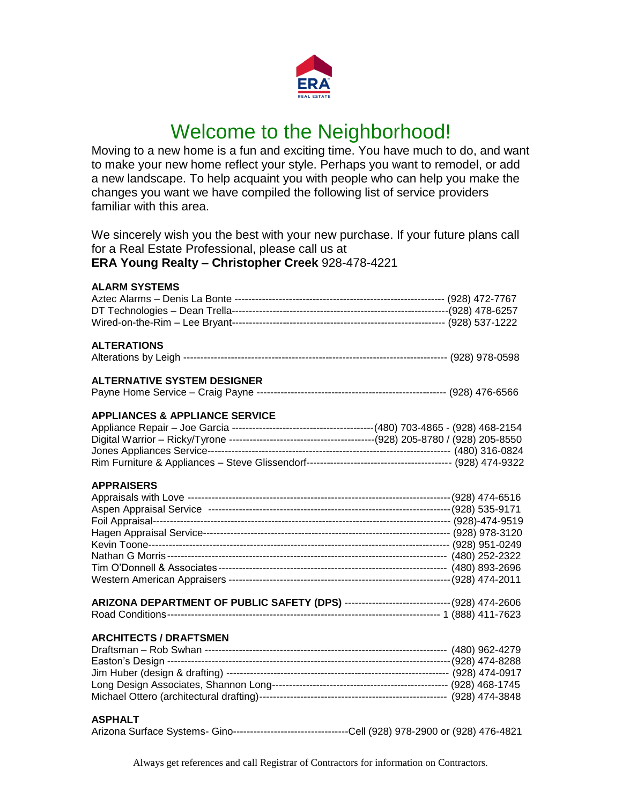

# Welcome to the Neighborhood!

Moving to a new home is a fun and exciting time. You have much to do, and want to make your new home reflect your style. Perhaps you want to remodel, or add a new landscape. To help acquaint you with people who can help you make the changes you want we have compiled the following list of service providers familiar with this area.

We sincerely wish you the best with your new purchase. If your future plans call for a Real Estate Professional, please call us at

**ERA Young Realty – Christopher Creek** 928-478-4221

| <b>ALARM SYSTEMS</b>                                                                    |  |
|-----------------------------------------------------------------------------------------|--|
|                                                                                         |  |
|                                                                                         |  |
|                                                                                         |  |
| <b>ALTERATIONS</b>                                                                      |  |
|                                                                                         |  |
| <b>ALTERNATIVE SYSTEM DESIGNER</b>                                                      |  |
|                                                                                         |  |
| <b>APPLIANCES &amp; APPLIANCE SERVICE</b>                                               |  |
|                                                                                         |  |
|                                                                                         |  |
|                                                                                         |  |
|                                                                                         |  |
| <b>APPRAISERS</b>                                                                       |  |
|                                                                                         |  |
|                                                                                         |  |
|                                                                                         |  |
|                                                                                         |  |
|                                                                                         |  |
|                                                                                         |  |
|                                                                                         |  |
|                                                                                         |  |
| ARIZONA DEPARTMENT OF PUBLIC SAFETY (DPS) -------------------------------(928) 474-2606 |  |
|                                                                                         |  |
| <b>ARCHITECTS / DRAFTSMEN</b>                                                           |  |
|                                                                                         |  |
|                                                                                         |  |
|                                                                                         |  |
|                                                                                         |  |
|                                                                                         |  |
| <b>ASPHALT</b>                                                                          |  |
|                                                                                         |  |

Arizona Surface Systems- Gino----------------------------------Cell (928) 978-2900 or (928) 476-4821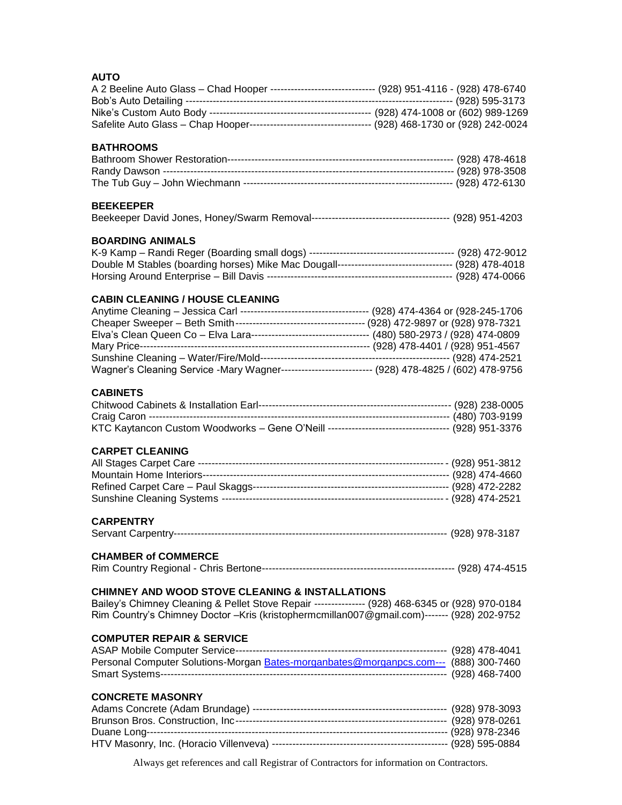#### **AUTO**

| <b>AUTO</b>                                                                                          |  |
|------------------------------------------------------------------------------------------------------|--|
| A 2 Beeline Auto Glass - Chad Hooper ------------------------------ (928) 951-4116 - (928) 478-6740  |  |
|                                                                                                      |  |
|                                                                                                      |  |
|                                                                                                      |  |
|                                                                                                      |  |
|                                                                                                      |  |
| <b>BATHROOMS</b>                                                                                     |  |
|                                                                                                      |  |
|                                                                                                      |  |
|                                                                                                      |  |
|                                                                                                      |  |
| <b>BEEKEEPER</b>                                                                                     |  |
|                                                                                                      |  |
|                                                                                                      |  |
| <b>BOARDING ANIMALS</b>                                                                              |  |
|                                                                                                      |  |
|                                                                                                      |  |
| Double M Stables (boarding horses) Mike Mac Dougall---------------------------------- (928) 478-4018 |  |
|                                                                                                      |  |
|                                                                                                      |  |
| <b>CABIN CLEANING / HOUSE CLEANING</b>                                                               |  |
|                                                                                                      |  |
|                                                                                                      |  |
|                                                                                                      |  |
|                                                                                                      |  |
|                                                                                                      |  |
| Wagner's Cleaning Service -Mary Wagner--------------------------- (928) 478-4825 / (602) 478-9756    |  |
|                                                                                                      |  |
|                                                                                                      |  |
| <b>CABINETS</b>                                                                                      |  |
|                                                                                                      |  |
|                                                                                                      |  |
|                                                                                                      |  |
|                                                                                                      |  |
| <b>CARPET CLEANING</b>                                                                               |  |
|                                                                                                      |  |
|                                                                                                      |  |
|                                                                                                      |  |
|                                                                                                      |  |
|                                                                                                      |  |
|                                                                                                      |  |
| <b>CARPENTRY</b>                                                                                     |  |
|                                                                                                      |  |
|                                                                                                      |  |
| <b>CHAMBER of COMMERCE</b>                                                                           |  |
|                                                                                                      |  |
|                                                                                                      |  |
| <b>CHIMNEY AND WOOD STOVE CLEANING &amp; INSTALLATIONS</b>                                           |  |
| Bailey's Chimney Cleaning & Pellet Stove Repair --------------- (928) 468-6345 or (928) 970-0184     |  |
| Rim Country's Chimney Doctor - Kris (kristophermcmillan007@gmail.com)------- (928) 202-9752          |  |
|                                                                                                      |  |
| <b>COMPUTER REPAIR &amp; SERVICE</b>                                                                 |  |
|                                                                                                      |  |
|                                                                                                      |  |
| Personal Computer Solutions-Morgan Bates-morganbates@morganpcs.com--- (888) 300-7460                 |  |
|                                                                                                      |  |
|                                                                                                      |  |
| <b>CONCRETE MASONRY</b>                                                                              |  |

| _______________________ |  |
|-------------------------|--|
|                         |  |
|                         |  |
|                         |  |
|                         |  |
|                         |  |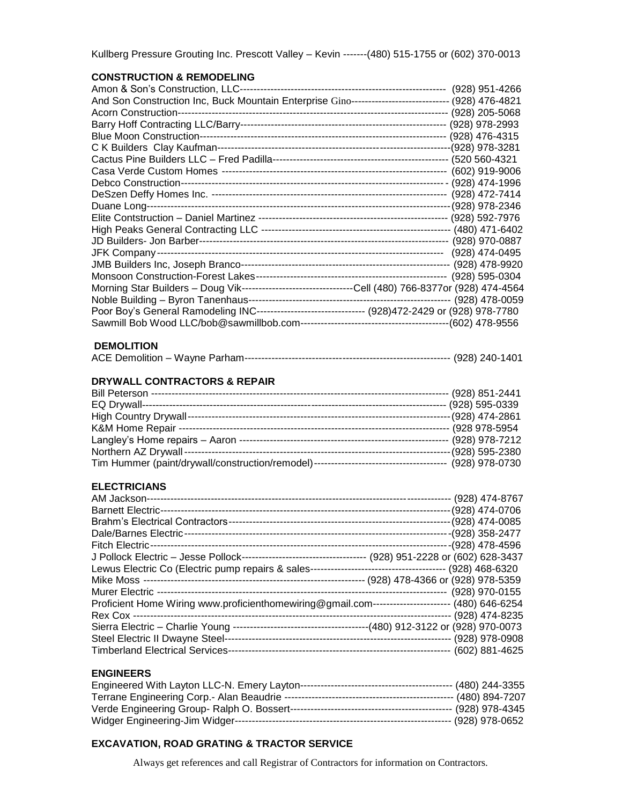|  | Kullberg Pressure Grouting Inc. Prescott Valley - Kevin -------(480) 515-1755 or (602) 370-0013 |  |  |  |
|--|-------------------------------------------------------------------------------------------------|--|--|--|
|--|-------------------------------------------------------------------------------------------------|--|--|--|

#### **CONSTRUCTION & REMODELING**

| And Son Construction Inc, Buck Mountain Enterprise Gino---------------------------- (928) 476-4821   |  |  |
|------------------------------------------------------------------------------------------------------|--|--|
|                                                                                                      |  |  |
|                                                                                                      |  |  |
|                                                                                                      |  |  |
|                                                                                                      |  |  |
|                                                                                                      |  |  |
|                                                                                                      |  |  |
|                                                                                                      |  |  |
|                                                                                                      |  |  |
|                                                                                                      |  |  |
|                                                                                                      |  |  |
|                                                                                                      |  |  |
|                                                                                                      |  |  |
|                                                                                                      |  |  |
|                                                                                                      |  |  |
|                                                                                                      |  |  |
| Morning Star Builders - Doug Vik--------------------------------Cell (480) 766-8377or (928) 474-4564 |  |  |
|                                                                                                      |  |  |
| Poor Boy's General Ramodeling INC-------------------------------- (928)472-2429 or (928) 978-7780    |  |  |
|                                                                                                      |  |  |

#### **DEMOLITION**

# **DRYWALL CONTRACTORS & REPAIR**

|  | (928) 851-2441     |
|--|--------------------|
|  | -- (928) 595-0339  |
|  | --- (928) 474-2861 |
|  | (928 978-5954      |
|  | (928) 978-7212     |
|  | -- (928) 595-2380  |
|  | (928) 978-0730     |

## **ELECTRICIANS**

| (928) 474-8767                                                                                   |
|--------------------------------------------------------------------------------------------------|
| (928) 474-0706                                                                                   |
| (928) 474-0085                                                                                   |
| (928) 358-2477                                                                                   |
| (928) 478-4596                                                                                   |
|                                                                                                  |
|                                                                                                  |
| (928) 478-4366 or (928) 978-5359                                                                 |
| (928) 970-0155                                                                                   |
| Proficient Home Wiring www.proficienthomewiring@gmail.com------------------------ (480) 646-6254 |
| (928) 474-8235                                                                                   |
|                                                                                                  |
| $(928)$ 978-0908                                                                                 |
| (602) 881-4625                                                                                   |
|                                                                                                  |

## **ENGINEERS**

|  | ---- (928) 978-0652 |
|--|---------------------|

# **EXCAVATION, ROAD GRATING & TRACTOR SERVICE**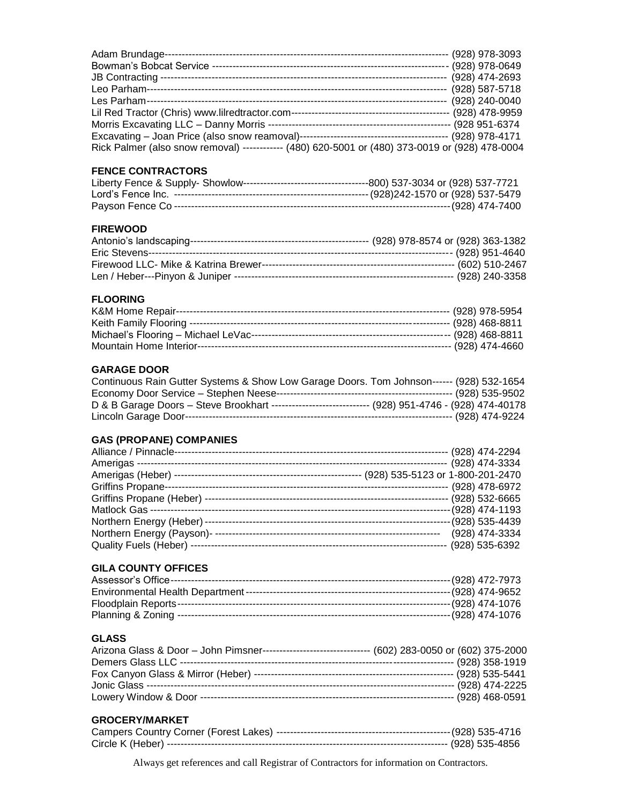| Adam Brundage-                                                                                  | $(928)$ 978-3093 |
|-------------------------------------------------------------------------------------------------|------------------|
| Bowman's Bobcat Service -<br>                                                                   | (928) 978-0649   |
| JB Contracting --                                                                               | (928) 474-2693   |
| Leo Parham-----                                                                                 | (928) 587-5718   |
| Les Parham-------------                                                                         | (928) 240-0040   |
|                                                                                                 | (928) 478-9959   |
|                                                                                                 | (928 951-6374    |
|                                                                                                 | (928) 978-4171   |
| Rick Palmer (also snow removal) ------------ (480) 620-5001 or (480) 373-0019 or (928) 478-0004 |                  |

## **FENCE CONTRACTORS**

## **FIREWOOD**

# **FLOORING**

## **GARAGE DOOR**

| Continuous Rain Gutter Systems & Show Low Garage Doors. Tom Johnson------ (928) 532-1654            |  |
|-----------------------------------------------------------------------------------------------------|--|
|                                                                                                     |  |
| D & B Garage Doors - Steve Brookhart ----------------------------- (928) 951-4746 - (928) 474-40178 |  |
|                                                                                                     |  |

## **GAS (PROPANE) COMPANIES**

| Alliance / Pinnacle-                  | (928) 474-2294     |
|---------------------------------------|--------------------|
| Amerigas -------                      | (928) 474-3334     |
| (928) 535-5123 or 1-800-201-2470      |                    |
| <b>Griffins Propane-</b>              | (928) 478-6972     |
| Griffins Propane (Heber) ------------ | $(928) 532 - 6665$ |
| Matlock Gas --------                  | (928) 474-1193     |
|                                       | (928) 535-4439     |
| Northern Energy (Payson)-----         | (928) 474-3334     |
| Quality Fuels (Heber) --------        | (928) 535-6392     |

# **GILA COUNTY OFFICES**

# **GLASS**

| Arizona Glass & Door - John Pimsner--------------------------------- (602) 283-0050 or (602) 375-2000 |  |
|-------------------------------------------------------------------------------------------------------|--|
|                                                                                                       |  |
|                                                                                                       |  |
|                                                                                                       |  |
|                                                                                                       |  |

#### **GROCERY/MARKET**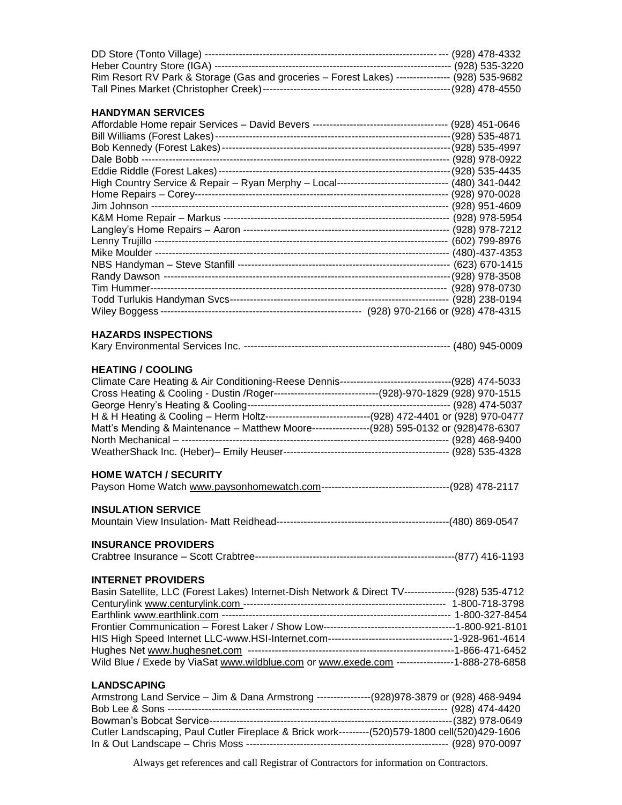| Rim Resort RV Park & Storage (Gas and groceries - Forest Lakes) ---------------- (928) 535-9682 |  |
|-------------------------------------------------------------------------------------------------|--|
|                                                                                                 |  |

# **HANDYMAN SERVICES**

| HAND I MAN ƏERVILEƏ                                                                                 |  |
|-----------------------------------------------------------------------------------------------------|--|
|                                                                                                     |  |
|                                                                                                     |  |
|                                                                                                     |  |
|                                                                                                     |  |
|                                                                                                     |  |
| High Country Service & Repair - Ryan Merphy - Local-------------------------------- (480) 341-0442  |  |
|                                                                                                     |  |
|                                                                                                     |  |
|                                                                                                     |  |
|                                                                                                     |  |
|                                                                                                     |  |
|                                                                                                     |  |
|                                                                                                     |  |
|                                                                                                     |  |
|                                                                                                     |  |
|                                                                                                     |  |
|                                                                                                     |  |
| <b>HAZARDS INSPECTIONS</b>                                                                          |  |
|                                                                                                     |  |
| <b>HEATING / COOLING</b>                                                                            |  |
| Climate Care Heating & Air Conditioning-Reese Dennis---------------------------------(928) 474-5033 |  |
| Cross Heating & Cooling - Dustin / Roger------------------------------(928)-970-1829 (928) 970-1515 |  |
|                                                                                                     |  |
| H & H Heating & Cooling - Herm Holtz------------------------------(928) 472-4401 or (928) 970-0477  |  |
| Matt's Mending & Maintenance - Matthew Moore----------------(928) 595-0132 or (928)478-6307         |  |
|                                                                                                     |  |
|                                                                                                     |  |
| <b>HOME WATCH / SECURITY</b>                                                                        |  |
|                                                                                                     |  |
| <b>INSULATION SERVICE</b>                                                                           |  |
|                                                                                                     |  |
| <b>INSURANCE PROVIDERS</b>                                                                          |  |
|                                                                                                     |  |
| <b>INTERNET PROVIDERS</b>                                                                           |  |
| Basin Satellite, LLC (Forest Lakes) Internet-Dish Network & Direct TV---------------(928) 535-4712  |  |
|                                                                                                     |  |
|                                                                                                     |  |
|                                                                                                     |  |
|                                                                                                     |  |
|                                                                                                     |  |
| Wild Blue / Exede by ViaSat www.wildblue.com or www.exede.com ----------------1-888-278-6858        |  |
| <b>LANDSCAPING</b>                                                                                  |  |
| Armstrong Land Service - Jim & Dana Armstrong ---------------(928)978-3879 or (928) 468-9494        |  |

Bob Lee & Sons ----------------------------------------------------------------------------------- (928) 474-4420 Bowman's Bobcat Service------------------------------------------------------------------------(382) 978-0649 Cutler Landscaping, Paul Cutler Fireplace & Brick work---------(520)579-1800 cell(520)429-1606 In & Out Landscape – Chris Moss ------------------------------------------------------------ (928) 970-0097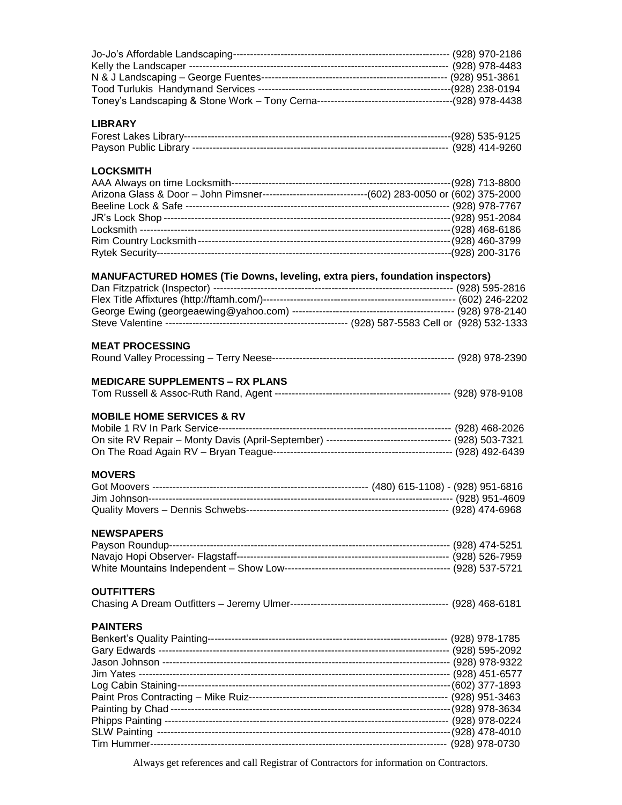| <b>LIBRARY</b>                                                                                      |  |
|-----------------------------------------------------------------------------------------------------|--|
|                                                                                                     |  |
|                                                                                                     |  |
| <b>LOCKSMITH</b>                                                                                    |  |
|                                                                                                     |  |
| Arizona Glass & Door - John Pimsner--------------------------------(602) 283-0050 or (602) 375-2000 |  |
|                                                                                                     |  |
|                                                                                                     |  |
|                                                                                                     |  |
|                                                                                                     |  |
|                                                                                                     |  |
| MANUFACTURED HOMES (Tie Downs, leveling, extra piers, foundation inspectors)                        |  |
|                                                                                                     |  |
|                                                                                                     |  |
|                                                                                                     |  |
|                                                                                                     |  |
| <b>MEAT PROCESSING</b>                                                                              |  |
|                                                                                                     |  |
| <b>MEDICARE SUPPLEMENTS - RX PLANS</b>                                                              |  |
|                                                                                                     |  |
|                                                                                                     |  |
| <b>MOBILE HOME SERVICES &amp; RV</b>                                                                |  |
|                                                                                                     |  |
|                                                                                                     |  |
|                                                                                                     |  |
| <b>MOVERS</b>                                                                                       |  |
|                                                                                                     |  |
|                                                                                                     |  |
|                                                                                                     |  |
| <b>NEWSPAPERS</b>                                                                                   |  |
|                                                                                                     |  |
|                                                                                                     |  |
|                                                                                                     |  |
| <b>OUTFITTERS</b>                                                                                   |  |
|                                                                                                     |  |
| <b>PAINTERS</b>                                                                                     |  |
|                                                                                                     |  |
|                                                                                                     |  |
|                                                                                                     |  |
|                                                                                                     |  |
|                                                                                                     |  |
|                                                                                                     |  |
|                                                                                                     |  |
|                                                                                                     |  |
|                                                                                                     |  |
|                                                                                                     |  |
| 1. Contractor of Little Contractor Contractor Contractor Contractor                                 |  |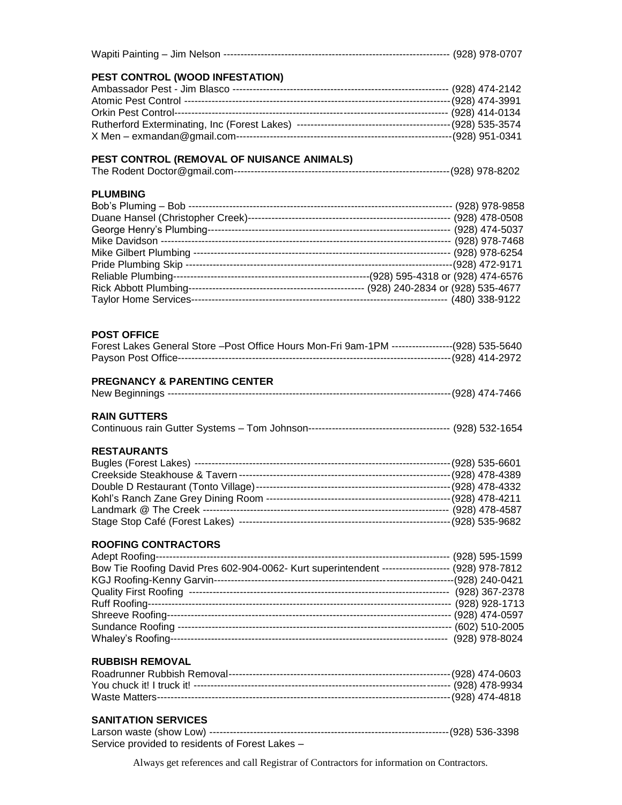| PEST CONTROL (WOOD INFESTATION)                                                                 |  |
|-------------------------------------------------------------------------------------------------|--|
|                                                                                                 |  |
|                                                                                                 |  |
|                                                                                                 |  |
|                                                                                                 |  |
|                                                                                                 |  |
| PEST CONTROL (REMOVAL OF NUISANCE ANIMALS)                                                      |  |
|                                                                                                 |  |
| <b>PLUMBING</b>                                                                                 |  |
|                                                                                                 |  |
|                                                                                                 |  |
|                                                                                                 |  |
|                                                                                                 |  |
|                                                                                                 |  |
|                                                                                                 |  |
|                                                                                                 |  |
|                                                                                                 |  |
| <b>POST OFFICE</b>                                                                              |  |
| Forest Lakes General Store - Post Office Hours Mon-Fri 9am-1PM ------------------(928) 535-5640 |  |
|                                                                                                 |  |
| <b>PREGNANCY &amp; PARENTING CENTER</b>                                                         |  |
|                                                                                                 |  |
| <b>RAIN GUTTERS</b>                                                                             |  |
|                                                                                                 |  |
| <b>RESTAURANTS</b>                                                                              |  |
|                                                                                                 |  |
|                                                                                                 |  |
|                                                                                                 |  |
|                                                                                                 |  |
|                                                                                                 |  |
|                                                                                                 |  |
| <b>ROOFING CONTRACTORS</b>                                                                      |  |
|                                                                                                 |  |
| Bow Tie Roofing David Pres 602-904-0062- Kurt superintendent ------------------- (928) 978-7812 |  |
|                                                                                                 |  |
|                                                                                                 |  |
|                                                                                                 |  |
|                                                                                                 |  |
|                                                                                                 |  |
|                                                                                                 |  |
| <b>RUBBISH REMOVAL</b>                                                                          |  |
|                                                                                                 |  |
|                                                                                                 |  |
|                                                                                                 |  |
| <b>SANITATION SERVICES</b>                                                                      |  |
|                                                                                                 |  |
| Service provided to residents of Forest Lakes -                                                 |  |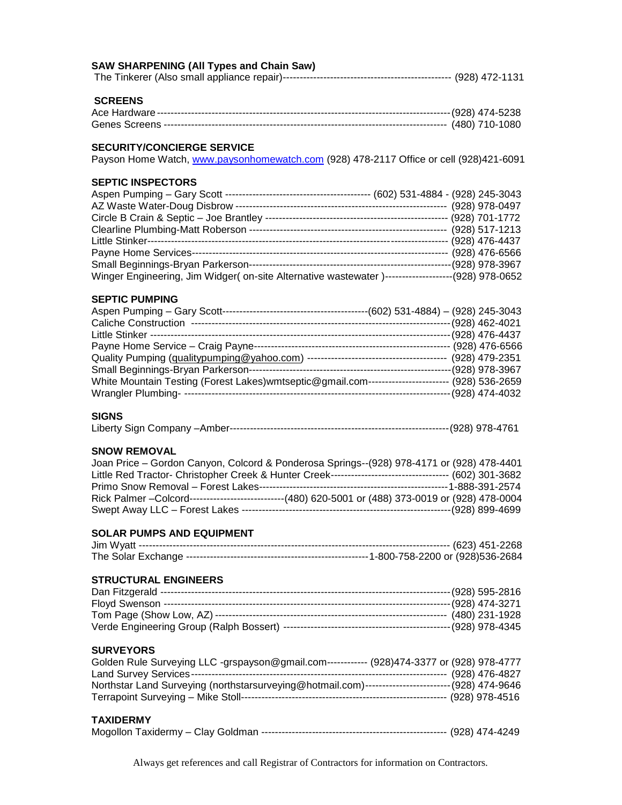#### **SAW SHARPENING (All Types and Chain Saw)**

|--|--|--|--|

# **SCREENS**

# **SECURITY/CONCIERGE SERVICE**

Payson Home Watch, [www.paysonhomewatch.com](http://www.paysonhomewatch.com/) (928) 478-2117 Office or cell (928)421-6091

# **SEPTIC INSPECTORS**

| (602) 531-4884 - (928) 245-3043<br>Aspen Pumping – Gary Scott --------------------------------- |                     |
|-------------------------------------------------------------------------------------------------|---------------------|
| AZ Waste Water-Doug Disbrow --                                                                  | (928) 978-0497      |
| Circle B Crain & Septic - Joe Brantley --                                                       | (928) 701-1772      |
| Clearline Plumbing-Matt Roberson --                                                             | (928) 517-1213      |
| Little Stinker-----                                                                             | (928) 476-4437      |
| Payne Home Services-                                                                            | (928) 476-6566      |
| Small Beginnings-Bryan Parkerson-                                                               | (928) 978-3967      |
| Winger Engineering, Jim Widger (on-site Alternative wastewater)---                              | -----(928) 978-0652 |

#### **SEPTIC PUMPING**

| $(602)$ 531-4884) - (928) 245-3043<br>Aspen Pumping - Gary Scott-- |                |
|--------------------------------------------------------------------|----------------|
| <b>Caliche Construction</b>                                        | (928) 462-4021 |
| Little Stinker ---                                                 | (928) 476-4437 |
| Payne Home Service - Craig Payne-                                  | (928) 476-6566 |
| Quality Pumping (qualitypumping@yahoo.com) --                      | (928) 479-2351 |
| Small Beginnings-Bryan Parkerson-                                  | (928) 978-3967 |
| White Mountain Testing (Forest Lakes) wmtseptic@gmail.com-         | (928) 536-2659 |
| <b>Wrangler Plumbing-</b>                                          | (928) 474-4032 |

#### **SIGNS**

|--|--|--|--|--|

#### **SNOW REMOVAL**

| Joan Price - Gordon Canyon, Colcord & Ponderosa Springs--(928) 978-4171 or (928) 478-4401           |  |
|-----------------------------------------------------------------------------------------------------|--|
|                                                                                                     |  |
|                                                                                                     |  |
| Rick Palmer - Colcord----------------------------(480) 620-5001 or (488) 373-0019 or (928) 478-0004 |  |
|                                                                                                     |  |

# **SOLAR PUMPS AND EQUIPMENT**

#### **STRUCTURAL ENGINEERS**

#### **SURVEYORS**

| Golden Rule Surveying LLC -grspayson@gmail.com------------ (928)474-3377 or (928) 978-4777       |                   |
|--------------------------------------------------------------------------------------------------|-------------------|
|                                                                                                  |                   |
| Northstar Land Surveying (northstarsurveying@hotmail.com)-------------------------(928) 474-9646 |                   |
|                                                                                                  | -- (928) 978-4516 |

#### **TAXIDERMY**

|--|--|--|--|--|--|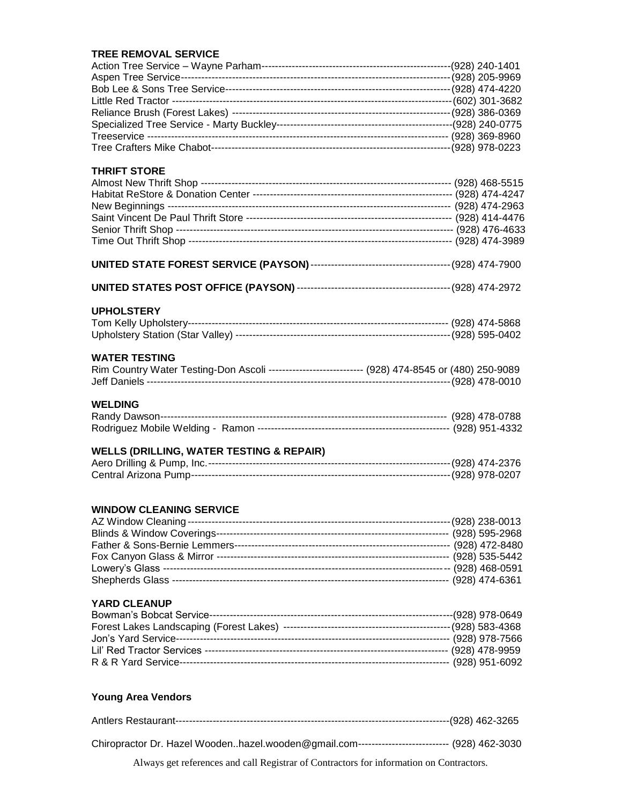#### **TREE REMOVAL SERVICE**

| <b>THRIFT STORE</b>                                                                                |  |
|----------------------------------------------------------------------------------------------------|--|
|                                                                                                    |  |
|                                                                                                    |  |
|                                                                                                    |  |
|                                                                                                    |  |
|                                                                                                    |  |
|                                                                                                    |  |
|                                                                                                    |  |
|                                                                                                    |  |
|                                                                                                    |  |
| <b>UPHOLSTERY</b>                                                                                  |  |
|                                                                                                    |  |
|                                                                                                    |  |
| <b>WATER TESTING</b>                                                                               |  |
| Rim Country Water Testing-Don Ascoli ---------------------------- (928) 474-8545 or (480) 250-9089 |  |
|                                                                                                    |  |
| <b>WELDING</b>                                                                                     |  |
|                                                                                                    |  |
|                                                                                                    |  |
| <b>WELLS (DRILLING, WATER TESTING &amp; REPAIR)</b>                                                |  |
|                                                                                                    |  |
|                                                                                                    |  |
|                                                                                                    |  |
| <b>WINDOW CLEANING SERVICE</b>                                                                     |  |
|                                                                                                    |  |
|                                                                                                    |  |
|                                                                                                    |  |
|                                                                                                    |  |
|                                                                                                    |  |
| <b>YARD CLEANUP</b>                                                                                |  |
|                                                                                                    |  |
|                                                                                                    |  |
|                                                                                                    |  |
|                                                                                                    |  |
|                                                                                                    |  |
|                                                                                                    |  |
|                                                                                                    |  |
| <b>Young Area Vendors</b>                                                                          |  |

Antlers Restaurant---------------------------------------------------------------------------------(928) 462-3265 Chiropractor Dr. Hazel Wooden..hazel.wooden@gmail.com--------------------------- (928) 462-3030